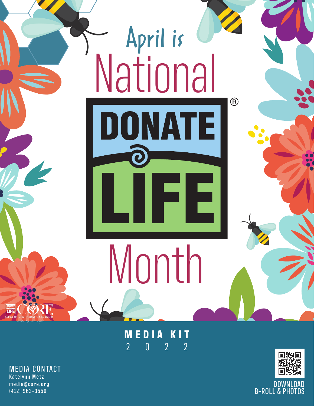

**MEDIA KIT MEDIA KIT** 2 0 2 2 2022

MEDIA CONTACT MEDIA CONTACT Katelynn Metz Katelynn Metz media@core.org media@core.org (412) 963-3550 (412) 963-3550



DOWNLOAD B-ROLL & PHOTOS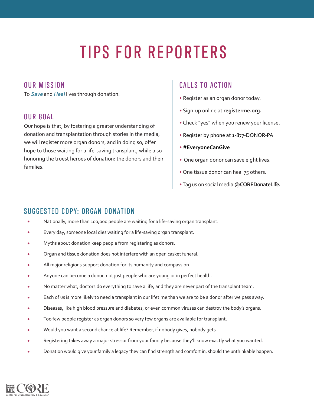# TIPS FOR REPORTERS

#### OUR MISSION

To **Save** and **Heal** lives through donation.

#### OUR GOAL

Our hope is that, by fostering a greater understanding of donation and transplantation through stories in the media, we will register more organ donors, and in doing so, offer hope to those waiting for a life-saving transplant, while also honoring the truest heroes of donation: the donors and their families.

#### CALLS TO ACTION

- Register as an organ donor today.
- Sign-up online at **registerme.org.**
- Check "yes" when you renew your license.
- Register by phone at 1-877-DONOR-PA.
- **#EveryoneCanGive**
- One organ donor can save eight lives.
- One tissue donor can heal 75 others.
- Tag us on social media **@COREDonateLife.**

#### SUGGESTED COPY: ORGAN DONATION

- Nationally, more than 100,000 people are waiting for a life-saving organ transplant.
- Every day, someone local dies waiting for a life-saving organ transplant.
- Myths about donation keep people from registering as donors.
- Organ and tissue donation does not interfere with an open casket funeral.
- All major religions support donation for its humanity and compassion.
- Anyone can become a donor, not just people who are young or in perfect health.
- No matter what, doctors do everything to save a life, and they are never part of the transplant team.
- Each of us is more likely to need a transplant in our lifetime than we are to be a donor after we pass away.
- Diseases, like high blood pressure and diabetes, or even common viruses can destroy the body's organs.
- Too few people register as organ donors so very few organs are available for transplant.
- Would you want a second chance at life? Remember, if nobody gives, nobody gets.
- Registering takes away a major stressor from your family because they'll know exactly what you wanted.
- Donation would give your family a legacy they can find strength and comfort in, should the unthinkable happen.

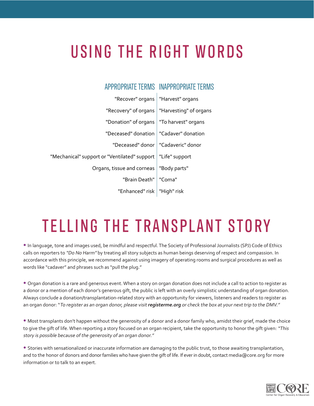## USING THE RIGHT WORDS

| APPROPRIATE TERMS INAPPROPRIATE TERMS |                                              |
|---------------------------------------|----------------------------------------------|
| "Recover" organs   "Harvest" organs   |                                              |
| "Harvesting" of organs                | "Recovery" of organs                         |
| "To harvest" organs                   | "Donation" of organs                         |
| "Cadaver" donation                    | "Deceased" donation                          |
| "Cadaveric" donor                     | "Deceased" donor                             |
| "Life" support                        | "Mechanical" support or "Ventilated" support |
| "Body parts"                          | Organs, tissue and corneas                   |
| "Coma"                                | "Brain Death"                                |
|                                       | "Enhanced" risk   "High" risk                |

### TELLING THE TRANSPLANT STORY

• In language, tone and images used, be mindful and respectful. The Society of Professional Journalists (SPJ) Code of Ethics calls on reporters to "Do No Harm" by treating all story subjects as human beings deserving of respect and compassion. In accordance with this principle, we recommend against using imagery of operating rooms and surgical procedures as well as words like "cadaver" and phrases such as "pull the plug."

• Organ donation is a rare and generous event. When a story on organ donation does not include a call to action to register as a donor or a mention of each donor's generous gift, the public is left with an overly simplistic understanding of organ donation. Always conclude a donation/transplantation-related story with an opportunity for viewers, listeners and readers to register as an organ donor: "To register as an organ donor, please visit **registerme.org** or check the box at your next trip to the DMV."

• Most transplants don't happen without the generosity of a donor and a donor family who, amidst their grief, made the choice to give the gift of life. When reporting a story focused on an organ recipient, take the opportunity to honor the gift given: "This story is possible because of the generosity of an organ donor."

• Stories with sensationalized or inaccurate information are damaging to the public trust, to those awaiting transplantation, and to the honor of donors and donor families who have given the gift of life. If ever in doubt, contact media@core.org for more information or to talk to an expert.